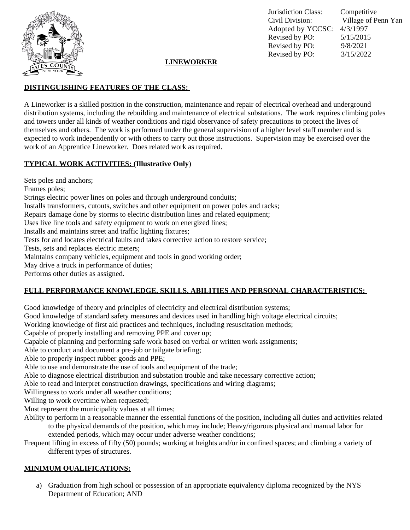

Jurisdiction Class: Competitive Civil Division: Village of Penn Yan Adopted by YCCSC: 4/3/1997 Revised by PO: 5/15/2015 Revised by PO: 9/8/2021 Revised by PO: 3/15/2022

# **LINEWORKER**

## **DISTINGUISHING FEATURES OF THE CLASS:**

A Lineworker is a skilled position in the construction, maintenance and repair of electrical overhead and underground distribution systems, including the rebuilding and maintenance of electrical substations. The work requires climbing poles and towers under all kinds of weather conditions and rigid observance of safety precautions to protect the lives of themselves and others. The work is performed under the general supervision of a higher level staff member and is expected to work independently or with others to carry out those instructions. Supervision may be exercised over the work of an Apprentice Lineworker. Does related work as required.

### **TYPICAL WORK ACTIVITIES: (Illustrative Only**)

Sets poles and anchors; Frames poles; Strings electric power lines on poles and through underground conduits; Installs transformers, cutouts, switches and other equipment on power poles and racks; Repairs damage done by storms to electric distribution lines and related equipment; Uses live line tools and safety equipment to work on energized lines; Installs and maintains street and traffic lighting fixtures; Tests for and locates electrical faults and takes corrective action to restore service; Tests, sets and replaces electric meters; Maintains company vehicles, equipment and tools in good working order; May drive a truck in performance of duties; Performs other duties as assigned.

# **FULL PERFORMANCE KNOWLEDGE, SKILLS, ABILITIES AND PERSONAL CHARACTERISTICS:**

Good knowledge of theory and principles of electricity and electrical distribution systems;

Good knowledge of standard safety measures and devices used in handling high voltage electrical circuits;

Working knowledge of first aid practices and techniques, including resuscitation methods;

Capable of properly installing and removing PPE and cover up;

Capable of planning and performing safe work based on verbal or written work assignments;

Able to conduct and document a pre-job or tailgate briefing;

Able to properly inspect rubber goods and PPE;

Able to use and demonstrate the use of tools and equipment of the trade;

Able to diagnose electrical distribution and substation trouble and take necessary corrective action;

Able to read and interpret construction drawings, specifications and wiring diagrams;

Willingness to work under all weather conditions;

Willing to work overtime when requested;

Must represent the municipality values at all times;

Ability to perform in a reasonable manner the essential functions of the position, including all duties and activities related to the physical demands of the position, which may include; Heavy/rigorous physical and manual labor for extended periods, which may occur under adverse weather conditions;

Frequent lifting in excess of fifty (50) pounds; working at heights and/or in confined spaces; and climbing a variety of different types of structures.

#### **MINIMUM QUALIFICATIONS:**

a) Graduation from high school or possession of an appropriate equivalency diploma recognized by the NYS Department of Education; AND